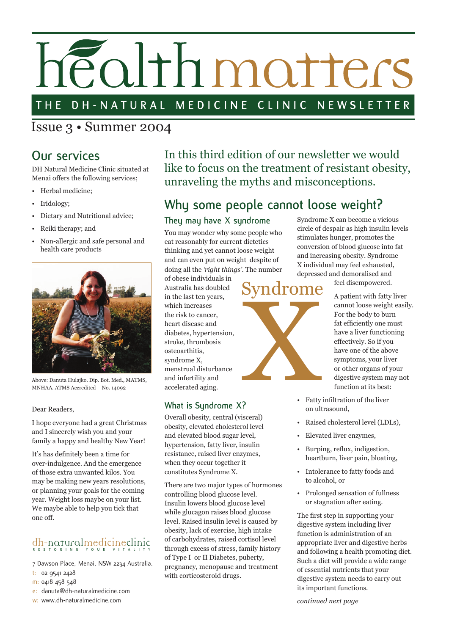# éalthmatters

#### DH-NATURAL MEDICINE CLINIC NEWSLETTER THE

Issue 3 • Summer 2004

### **Our services**

DH Natural Medicine Clinic situated at Menai offers the following services;

- Herbal medicine;
- Iridology;
- Dietary and Nutritional advice;
- Reiki therapy; and
- Non-allergic and safe personal and health care products



#### Dear Readers,

I hope everyone had a great Christmas and I sincerely wish you and your family a happy and healthy New Year!

It's has definitely been a time for over-indulgence. And the emergence of those extra unwanted kilos. You may be making new years resolutions, or planning your goals for the coming year. Weight loss maybe on your list. We maybe able to help you tick that one off.

## dh-naturalmedicineclini c **R E S T O R I N G Y O U R V I T A L I T Y**

7 Dawson Place, Menai, NSW 2234 Australia.

- t: 02 9541 2428
- m: 0418 458 548
- e: danuta@dh-naturalmedicine.com

Above: Danuta Hulajko. Dip. Bot. Med., MATMS, MNHAA. ATMS Accredited – No. 14092

In this third edition of our newsletter we would like to focus on the treatment of resistant obesity, unraveling the myths and misconceptions.

## **Why some people cannot loose weight?**

#### **They may have X syndrome**

You may wonder why some people who eat reasonably for current dietetics thinking and yet cannot loose weight and can even put on weight despite of doing all the *'right things'*. The number

of obese individuals in Australia has doubled in the last ten years, which increases the risk to cancer, heart disease and diabetes, hypertension, stroke, thrombosis osteoarthitis, syndrome X, menstrual disturbance and infertility and accelerated aging.

#### **What is Syndrome X?**

Overall obesity, central (visceral) obesity, elevated cholesterol level and elevated blood sugar level, hypertension, fatty liver, insulin resistance, raised liver enzymes, when they occur together it constitutes Syndrome X.

There are two major types of hormones controlling blood glucose level. Insulin lowers blood glucose level while glucagon raises blood glucose level. Raised insulin level is caused by obesity, lack of exercise, high intake of carbohydrates, raised cortisol level through excess of stress, family history of Type I or II Diabetes, puberty, pregnancy, menopause and treatment with corticosteroid drugs.

Syndrome X can become a vicious circle of despair as high insulin levels stimulates hunger, promotes the conversion of blood glucose into fat and increasing obesity. Syndrome X individual may feel exhausted, depressed and demoralised and

## Syndrome ndrome

feel disempowered.

A patient with fatty liver cannot loose weight easily. For the body to burn fat efficiently one must have a liver functioning effectively. So if you have one of the above symptoms, your liver or other organs of your digestive system may not function at its best:

- Fatty infiltration of the liver on ultrasound,
- Raised cholesterol level (LDLs),
- Elevated liver enzymes,
- Burping, reflux, indigestion, heartburn, liver pain, bloating,
- Intolerance to fatty foods and to alcohol, or
- Prolonged sensation of fullness or stagnation after eating.

The first step in supporting your digestive system including liver function is administration of an appropriate liver and digestive herbs and following a health promoting diet. Such a diet will provide a wide range of essential nutrients that your digestive system needs to carry out its important functions.

*continued next page*

w: www.dh-naturalmedicine.com